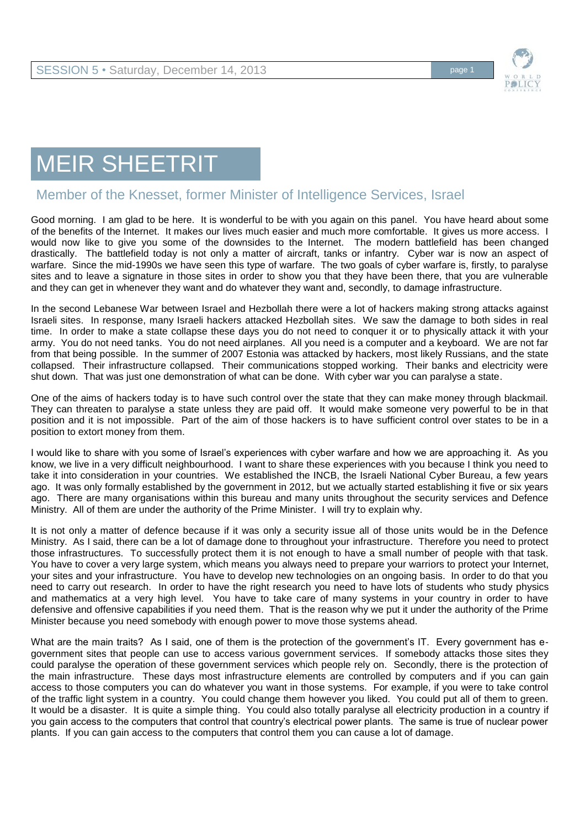

## MEIR SHEETRIT

## Member of the Knesset, former Minister of Intelligence Services, Israel

Good morning. I am glad to be here. It is wonderful to be with you again on this panel. You have heard about some of the benefits of the Internet. It makes our lives much easier and much more comfortable. It gives us more access. I would now like to give you some of the downsides to the Internet. The modern battlefield has been changed drastically. The battlefield today is not only a matter of aircraft, tanks or infantry. Cyber war is now an aspect of warfare. Since the mid-1990s we have seen this type of warfare. The two goals of cyber warfare is, firstly, to paralyse sites and to leave a signature in those sites in order to show you that they have been there, that you are vulnerable and they can get in whenever they want and do whatever they want and, secondly, to damage infrastructure.

In the second Lebanese War between Israel and Hezbollah there were a lot of hackers making strong attacks against Israeli sites. In response, many Israeli hackers attacked Hezbollah sites. We saw the damage to both sides in real time. In order to make a state collapse these days you do not need to conquer it or to physically attack it with your army. You do not need tanks. You do not need airplanes. All you need is a computer and a keyboard. We are not far from that being possible. In the summer of 2007 Estonia was attacked by hackers, most likely Russians, and the state collapsed. Their infrastructure collapsed. Their communications stopped working. Their banks and electricity were shut down. That was just one demonstration of what can be done. With cyber war you can paralyse a state.

One of the aims of hackers today is to have such control over the state that they can make money through blackmail. They can threaten to paralyse a state unless they are paid off. It would make someone very powerful to be in that position and it is not impossible. Part of the aim of those hackers is to have sufficient control over states to be in a position to extort money from them.

I would like to share with you some of Israel's experiences with cyber warfare and how we are approaching it. As you know, we live in a very difficult neighbourhood. I want to share these experiences with you because I think you need to take it into consideration in your countries. We established the INCB, the Israeli National Cyber Bureau, a few years ago. It was only formally established by the government in 2012, but we actually started establishing it five or six years ago. There are many organisations within this bureau and many units throughout the security services and Defence Ministry. All of them are under the authority of the Prime Minister. I will try to explain why.

It is not only a matter of defence because if it was only a security issue all of those units would be in the Defence Ministry. As I said, there can be a lot of damage done to throughout your infrastructure. Therefore you need to protect those infrastructures. To successfully protect them it is not enough to have a small number of people with that task. You have to cover a very large system, which means you always need to prepare your warriors to protect your Internet, your sites and your infrastructure. You have to develop new technologies on an ongoing basis. In order to do that you need to carry out research. In order to have the right research you need to have lots of students who study physics and mathematics at a very high level. You have to take care of many systems in your country in order to have defensive and offensive capabilities if you need them. That is the reason why we put it under the authority of the Prime Minister because you need somebody with enough power to move those systems ahead.

What are the main traits? As I said, one of them is the protection of the government's IT. Every government has egovernment sites that people can use to access various government services. If somebody attacks those sites they could paralyse the operation of these government services which people rely on. Secondly, there is the protection of the main infrastructure. These days most infrastructure elements are controlled by computers and if you can gain access to those computers you can do whatever you want in those systems. For example, if you were to take control of the traffic light system in a country. You could change them however you liked. You could put all of them to green. It would be a disaster. It is quite a simple thing. You could also totally paralyse all electricity production in a country if you gain access to the computers that control that country's electrical power plants. The same is true of nuclear power plants. If you can gain access to the computers that control them you can cause a lot of damage.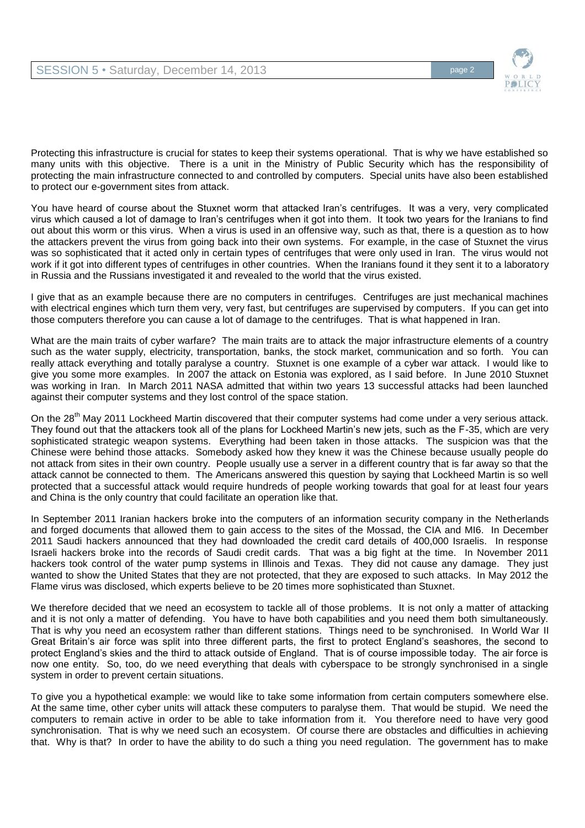

Protecting this infrastructure is crucial for states to keep their systems operational. That is why we have established so many units with this objective. There is a unit in the Ministry of Public Security which has the responsibility of protecting the main infrastructure connected to and controlled by computers. Special units have also been established to protect our e-government sites from attack.

You have heard of course about the Stuxnet worm that attacked Iran's centrifuges. It was a very, very complicated virus which caused a lot of damage to Iran's centrifuges when it got into them. It took two years for the Iranians to find out about this worm or this virus. When a virus is used in an offensive way, such as that, there is a question as to how the attackers prevent the virus from going back into their own systems. For example, in the case of Stuxnet the virus was so sophisticated that it acted only in certain types of centrifuges that were only used in Iran. The virus would not work if it got into different types of centrifuges in other countries. When the Iranians found it they sent it to a laboratory in Russia and the Russians investigated it and revealed to the world that the virus existed.

I give that as an example because there are no computers in centrifuges. Centrifuges are just mechanical machines with electrical engines which turn them very, very fast, but centrifuges are supervised by computers. If you can get into those computers therefore you can cause a lot of damage to the centrifuges. That is what happened in Iran.

What are the main traits of cyber warfare? The main traits are to attack the major infrastructure elements of a country such as the water supply, electricity, transportation, banks, the stock market, communication and so forth. You can really attack everything and totally paralyse a country. Stuxnet is one example of a cyber war attack. I would like to give you some more examples. In 2007 the attack on Estonia was explored, as I said before. In June 2010 Stuxnet was working in Iran. In March 2011 NASA admitted that within two years 13 successful attacks had been launched against their computer systems and they lost control of the space station.

On the 28<sup>th</sup> May 2011 Lockheed Martin discovered that their computer systems had come under a very serious attack. They found out that the attackers took all of the plans for Lockheed Martin's new jets, such as the F-35, which are very sophisticated strategic weapon systems. Everything had been taken in those attacks. The suspicion was that the Chinese were behind those attacks. Somebody asked how they knew it was the Chinese because usually people do not attack from sites in their own country. People usually use a server in a different country that is far away so that the attack cannot be connected to them. The Americans answered this question by saying that Lockheed Martin is so well protected that a successful attack would require hundreds of people working towards that goal for at least four years and China is the only country that could facilitate an operation like that.

In September 2011 Iranian hackers broke into the computers of an information security company in the Netherlands and forged documents that allowed them to gain access to the sites of the Mossad, the CIA and MI6. In December 2011 Saudi hackers announced that they had downloaded the credit card details of 400,000 Israelis. In response Israeli hackers broke into the records of Saudi credit cards. That was a big fight at the time. In November 2011 hackers took control of the water pump systems in Illinois and Texas. They did not cause any damage. They just wanted to show the United States that they are not protected, that they are exposed to such attacks. In May 2012 the Flame virus was disclosed, which experts believe to be 20 times more sophisticated than Stuxnet.

We therefore decided that we need an ecosystem to tackle all of those problems. It is not only a matter of attacking and it is not only a matter of defending. You have to have both capabilities and you need them both simultaneously. That is why you need an ecosystem rather than different stations. Things need to be synchronised. In World War II Great Britain's air force was split into three different parts, the first to protect England's seashores, the second to protect England's skies and the third to attack outside of England. That is of course impossible today. The air force is now one entity. So, too, do we need everything that deals with cyberspace to be strongly synchronised in a single system in order to prevent certain situations.

To give you a hypothetical example: we would like to take some information from certain computers somewhere else. At the same time, other cyber units will attack these computers to paralyse them. That would be stupid. We need the computers to remain active in order to be able to take information from it. You therefore need to have very good synchronisation. That is why we need such an ecosystem. Of course there are obstacles and difficulties in achieving that. Why is that? In order to have the ability to do such a thing you need regulation. The government has to make